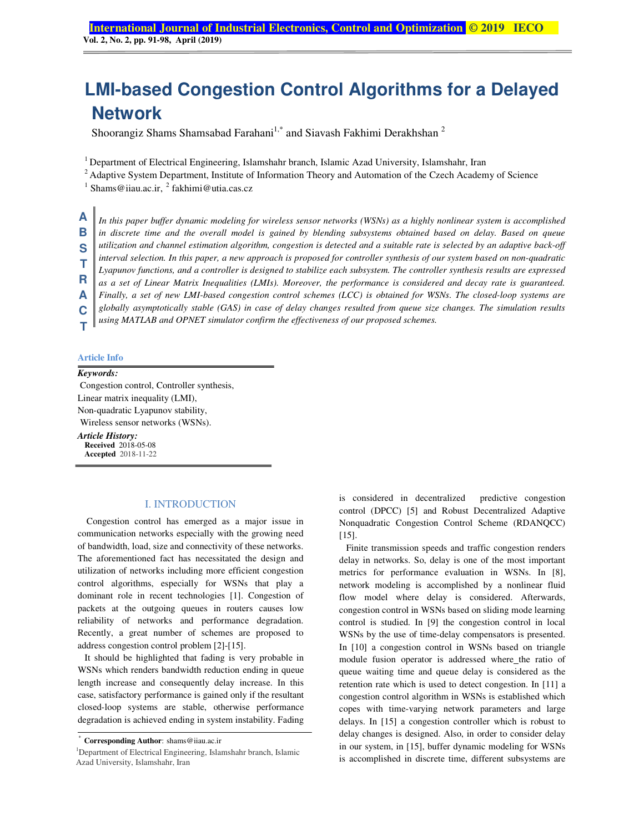# **LMI-based Congestion Control Algorithms for a Delayed Network**

Shoorangiz Shams Shamsabad Farahani<sup>1,\*</sup> and Siavash Fakhimi Derakhshan<sup>2</sup>

<sup>1</sup> Department of Electrical Engineering, Islamshahr branch, Islamic Azad University, Islamshahr, Iran

<sup>2</sup> Adaptive System Department, Institute of Information Theory and Automation of the Czech Academy of Science

 $<sup>1</sup>$  Shams@iiau.ac.ir,  $<sup>2</sup>$  fakhimi@utia.cas.cz</sup></sup>

*In this paper buffer dynamic modeling for wireless sensor networks (WSNs) as a highly nonlinear system is accomplished in discrete time and the overall model is gained by blending subsystems obtained based on delay. Based on queue utilization and channel estimation algorithm, congestion is detected and a suitable rate is selected by an adaptive back-off interval selection. In this paper, a new approach is proposed for controller synthesis of our system based on non-quadratic Lyapunov functions, and a controller is designed to stabilize each subsystem. The controller synthesis results are expressed as a set of Linear Matrix Inequalities (LMIs). Moreover, the performance is considered and decay rate is guaranteed. Finally, a set of new LMI-based congestion control schemes (LCC) is obtained for WSNs. The closed-loop systems are globally asymptotically stable (GAS) in case of delay changes resulted from queue size changes. The simulation results using MATLAB and OPNET simulator confirm the effectiveness of our proposed schemes.*  **A B S T R A C T**

### **Article Info**

#### *Keywords:*

 Congestion control, Controller synthesis, Linear matrix inequality (LMI), Non-quadratic Lyapunov stability, Wireless sensor networks (WSNs). *Article History:*  **Received** 2018-05-08

**Accepted** 2018-11-22

#### I. INTRODUCTION

Congestion control has emerged as a major issue in communication networks especially with the growing need of bandwidth, load, size and connectivity of these networks. The aforementioned fact has necessitated the design and utilization of networks including more efficient congestion control algorithms, especially for WSNs that play a dominant role in recent technologies [1]. Congestion of packets at the outgoing queues in routers causes low reliability of networks and performance degradation. Recently, a great number of schemes are proposed to address congestion control problem [2]-[15].

It should be highlighted that fading is very probable in WSNs which renders bandwidth reduction ending in queue length increase and consequently delay increase. In this case, satisfactory performance is gained only if the resultant closed-loop systems are stable, otherwise performance degradation is achieved ending in system instability. Fading is considered in decentralized predictive congestion control (DPCC) [5] and Robust Decentralized Adaptive Nonquadratic Congestion Control Scheme (RDANQCC) [15].

Finite transmission speeds and traffic congestion renders delay in networks. So, delay is one of the most important metrics for performance evaluation in WSNs. In [8], network modeling is accomplished by a nonlinear fluid flow model where delay is considered. Afterwards, congestion control in WSNs based on sliding mode learning control is studied. In [9] the congestion control in local WSNs by the use of time-delay compensators is presented. In [10] a congestion control in WSNs based on triangle module fusion operator is addressed where the ratio of queue waiting time and queue delay is considered as the retention rate which is used to detect congestion. In [11] a congestion control algorithm in WSNs is established which copes with time-varying network parameters and large delays. In [15] a congestion controller which is robust to delay changes is designed. Also, in order to consider delay in our system, in [15], buffer dynamic modeling for WSNs is accomplished in discrete time, different subsystems are

<sup>\*</sup> **Corresponding Author**: shams@iiau.ac.ir

<sup>1</sup>Department of Electrical Engineering, Islamshahr branch, Islamic Azad University, Islamshahr, Iran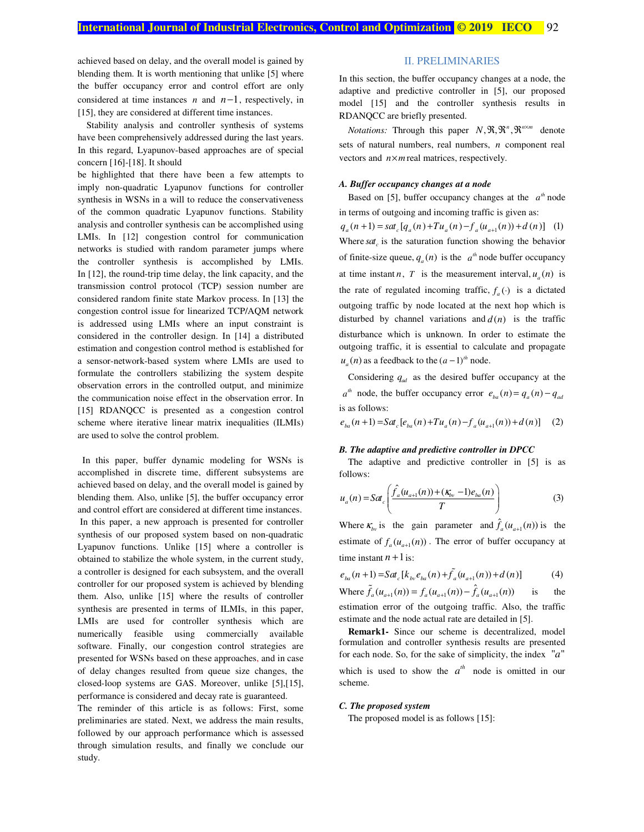achieved based on delay, and the overall model is gained by blending them. It is worth mentioning that unlike [5] where the buffer occupancy error and control effort are only considered at time instances *n* and *n*−1, respectively, in [15], they are considered at different time instances.

Stability analysis and controller synthesis of systems have been comprehensively addressed during the last years. In this regard, Lyapunov-based approaches are of special concern [16]-[18]. It should

be highlighted that there have been a few attempts to imply non-quadratic Lyapunov functions for controller synthesis in WSNs in a will to reduce the conservativeness of the common quadratic Lyapunov functions. Stability analysis and controller synthesis can be accomplished using LMIs. In [12] congestion control for communication networks is studied with random parameter jumps where the controller synthesis is accomplished by LMIs. In [12], the round-trip time delay, the link capacity, and the transmission control protocol (TCP) session number are considered random finite state Markov process. In [13] the congestion control issue for linearized TCP/AQM network is addressed using LMIs where an input constraint is considered in the controller design. In [14] a distributed estimation and congestion control method is established for a sensor-network-based system where LMIs are used to formulate the controllers stabilizing the system despite observation errors in the controlled output, and minimize the communication noise effect in the observation error. In [15] RDANQCC is presented as a congestion control scheme where iterative linear matrix inequalities (ILMIs) are used to solve the control problem.

 In this paper, buffer dynamic modeling for WSNs is accomplished in discrete time, different subsystems are achieved based on delay, and the overall model is gained by blending them. Also, unlike [5], the buffer occupancy error and control effort are considered at different time instances. In this paper, a new approach is presented for controller synthesis of our proposed system based on non-quadratic Lyapunov functions. Unlike [15] where a controller is obtained to stabilize the whole system, in the current study, a controller is designed for each subsystem, and the overall controller for our proposed system is achieved by blending them. Also, unlike [15] where the results of controller synthesis are presented in terms of ILMIs, in this paper, LMIs are used for controller synthesis which are numerically feasible using commercially available software. Finally, our congestion control strategies are presented for WSNs based on these approaches, and in case of delay changes resulted from queue size changes, the closed-loop systems are GAS. Moreover, unlike [5],[15], performance is considered and decay rate is guaranteed.

The reminder of this article is as follows: First, some preliminaries are stated. Next, we address the main results, followed by our approach performance which is assessed through simulation results, and finally we conclude our study.

#### II. PRELIMINARIES

In this section, the buffer occupancy changes at a node, the adaptive and predictive controller in [5], our proposed model [15] and the controller synthesis results in RDANQCC are briefly presented.

*Notations:* Through this paper  $N, \mathfrak{R}, \mathfrak{R}^n, \mathfrak{R}^{n \times m}$  denote sets of natural numbers, real numbers, *n* component real vectors and  $n \times m$  real matrices, respectively.

# *A. Buffer occupancy changes at a node*

Based on [5], buffer occupancy changes at the  $a<sup>th</sup>$  node in terms of outgoing and incoming traffic is given as:  $q_a(n+1) = sat_c [q_a(n) + Tu_a(n) - f_a(u_{a+1}(n)) + d(n)]$  (1) Where  $s a t_c$  is the saturation function showing the behavior of finite-size queue,  $q_a(n)$  is the  $a<sup>th</sup>$  node buffer occupancy at time instant *n*, *T* is the measurement interval,  $u_a(n)$  is the rate of regulated incoming traffic,  $f_a(\cdot)$  is a dictated outgoing traffic by node located at the next hop which is disturbed by channel variations and  $d(n)$  is the traffic disturbance which is unknown. In order to estimate the outgoing traffic, it is essential to calculate and propagate  $u_a(n)$  as a feedback to the  $(a-1)^{th}$  node.

Considering  $q_{ad}$  as the desired buffer occupancy at the  $a^{th}$  node, the buffer occupancy error  $e_{ba}(n) = q_a(n) - q_{ad}$ is as follows:

 $e_{ba}(n+1) = Sat_c [e_{ba}(n) + Tu_a(n) - f_a(u_{a+1}(n)) + d(n)]$  (2)

#### *B. The adaptive and predictive controller in DPCC*

The adaptive and predictive controller in [5] is as follows:

$$
u_a(n) = Sat_c \left( \frac{\hat{f}_a(u_{a+1}(n)) + (\kappa_{b_v} - 1)e_{ba}(n)}{T} \right)
$$
 (3)

Where  $\kappa_{b\nu}$  is the gain parameter and  $\hat{f}_a(u_{a+1}(n))$  is the estimate of  $f_a(u_{a+1}(n))$ . The error of buffer occupancy at time instant  $n+1$  is:

$$
e_{ba}(n+1) = Sat_c[k_{bv}e_{ba}(n) + \tilde{f}_a(u_{a+1}(n)) + d(n)] \tag{4}
$$

Where  $\tilde{f}_a(u_{a+1}(n)) = f_a(u_{a+1}(n)) - \hat{f}_a(u_{a+1}(n))$  is the estimation error of the outgoing traffic. Also, the traffic estimate and the node actual rate are detailed in [5].

**Remark1-** Since our scheme is decentralized, model formulation and controller synthesis results are presented for each node. So, for the sake of simplicity, the index  $"a"$ which is used to show the  $a^{th}$  node is omitted in our scheme.

#### *C. The proposed system*

The proposed model is as follows [15]: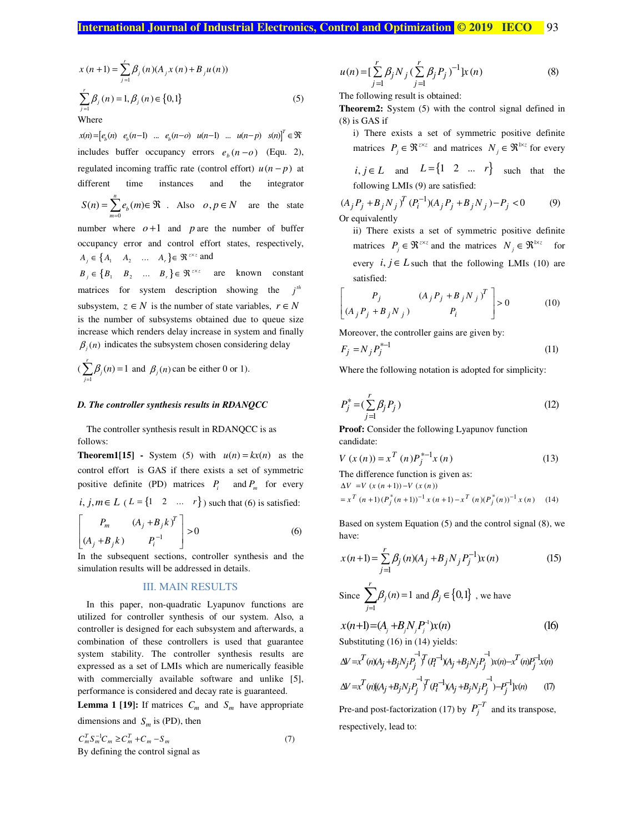$$
x(n+1) = \sum_{j=1}^{r} \beta_j(n) (A_j x(n) + B_j u(n))
$$
  

$$
\sum_{j=1}^{r} \beta_j(n) = 1, \beta_j(n) \in \{0, 1\}
$$
  
Where (5)

 $x(n) = [e_b(n) \quad e_b(n-1) \quad \dots \quad e_b(n-o) \quad u(n-1) \quad \dots \quad u(n-p) \quad s(n)]^T \in \mathfrak{R}^n$ includes buffer occupancy errors  $e_b(n - o)$  (Equ. 2), regulated incoming traffic rate (control effort)  $u(n-p)$  at different time instances and the integrator 0  $(n) = \sum_{k=0}^{n} e_{k}(m)$  $\sum_{m=0}^{\infty} c_b$  $S(n) = \sum e_h(m)$  $=\sum_{m=0}^{n} e_b(m) \in \Re$  . Also  $o, p \in N$  are the state number where  $o+1$  and  $p$  are the number of buffer occupancy error and control effort states, respectively,  $A_j \in \{A_1 \mid A_2 \mid \dots \mid A_r\} \in \Re^{z \times z}$  and  ${B}_j \in \{B_1 \quad B_2 \quad \dots \quad B_r\} \in \Re^{z \times z}$  are known constant matrices for system description showing the  $j<sup>th</sup>$ subsystem,  $z \in N$  is the number of state variables,  $r \in N$ is the number of subsystems obtained due to queue size increase which renders delay increase in system and finally  $\beta_i(n)$  indicates the subsystem chosen considering delay

 $(\sum_{j=1}^{r} \beta_j(n) = 1)$  $\sum_{j=1}^{7} \beta_j(n) = 1$  and  $\beta_j(n)$  can be either 0 or 1).

#### *D. The controller synthesis results in RDANQCC*

The controller synthesis result in RDANQCC is as follows:

**Theorem1[15] -** System (5) with  $u(n) = kx(n)$  as the control effort is GAS if there exists a set of symmetric positive definite (PD) matrices  $P_i$  and  $P_m$  for every

 $i, j, m \in L$  ( $L = \{1 \quad 2 \quad ... \quad r\}$ ) such that (6) is satisfied:

$$
\begin{bmatrix} P_m & (A_j + B_j k)^T \ (A_j + B_j k) & P_i^{-1} \end{bmatrix} > 0
$$
 (6)

In the subsequent sections, controller synthesis and the simulation results will be addressed in details.

#### III. MAIN RESULTS

In this paper, non-quadratic Lyapunov functions are utilized for controller synthesis of our system. Also, a controller is designed for each subsystem and afterwards, a combination of these controllers is used that guarantee system stability. The controller synthesis results are expressed as a set of LMIs which are numerically feasible with commercially available software and unlike [5], performance is considered and decay rate is guaranteed.

**Lemma 1 [19]:** If matrices  $C_m$  and  $S_m$  have appropriate dimensions and  $S_m$  is (PD), then

$$
C_m^T S_m^{-1} C_m \ge C_m^T + C_m - S_m
$$
  
By defining the control signal as (7)

$$
u(n) = \left[\sum_{j=1}^{r} \beta_j N_j \left(\sum_{j=1}^{r} \beta_j P_j\right)^{-1}\right] x(n)
$$
 (8)

The following result is obtained:

**Theorem2:** System (5) with the control signal defined in (8) is GAS if

i) There exists a set of symmetric positive definite matrices  $P_j \in \mathfrak{R}^{z \times z}$  and matrices  $N_j \in \mathfrak{R}^{z \times z}$  for every

 $i, j \in L$  and  $L = \begin{cases} 1 & 2 & \dots & r \end{cases}$  such that the following LMIs (9) are satisfied:

$$
(A_j P_j + B_j N_j)^T (P_i^{-1})(A_j P_j + B_j N_j) - P_j < 0 \tag{9}
$$
\nOr equivalently

ii) There exists a set of symmetric positive definite matrices  $P_j \in \mathfrak{R}^{z \times z}$  and the matrices  $N_j \in \mathfrak{R}^{1 \times z}$  for every  $i, j \in L$  such that the following LMIs (10) are satisfied:

$$
\begin{bmatrix} P_j & (A_j P_j + B_j N_j)^T \ (A_j P_j + B_j N_j)^T & P_i \end{bmatrix} > 0
$$
 (10)

Moreover, the controller gains are given by:

$$
F_j = N_j P_j^{*-1}
$$
\n<sup>(11)</sup>

Where the following notation is adopted for simplicity:

$$
P_j^* = (\sum_{j=1}^r \beta_j P_j)
$$
 (12)

**Proof:** Consider the following Lyapunov function candidate:

$$
V(x(n)) = x^{T}(n)P_{j}^{*-1}x(n)
$$
\n(13)

The difference function is given as:

$$
\Delta V = V (x (n + 1)) - V (x (n))
$$
  
=  $x^T (n + 1) (P_j^* (n + 1))^{-1} x (n + 1) - x^T (n) (P_j^* (n))^{-1} x (n)$  (14)

Based on system Equation (5) and the control signal (8), we have:

$$
x(n+1) = \sum_{j=1}^{r} \beta_j(n)(A_j + B_j N_j P_j^{-1})x(n)
$$
 (15)

Since 
$$
\sum_{j=1}^{r} \beta_j(n) = 1
$$
 and  $\beta_j \in \{0,1\}$ , we have

$$
x(n+1)=(A_j+B_jN_jP_j^{-1})x(n)
$$
 (16)  
Substituting (16) in (14) yields:

$$
\Delta V = x^T(n)(A_j + B_j N_j P_j^{\text{-1}})^T (P_i^{-1})(A_j + B_j N_j P_j^{\text{-1}})x(n) - x^T(n)P_j^{-1}x(n)
$$
  

$$
\Delta V = x^T(n)[(A_j + B_j N_j P_j^{\text{-1}})^T (P_i^{-1})(A_j + B_j N_j P_j^{\text{-1}}) - P_j^{-1}]x(n)
$$
 (T)

Pre-and post-factorization (17) by  $P_j^{-T}$  and its transpose, respectively, lead to: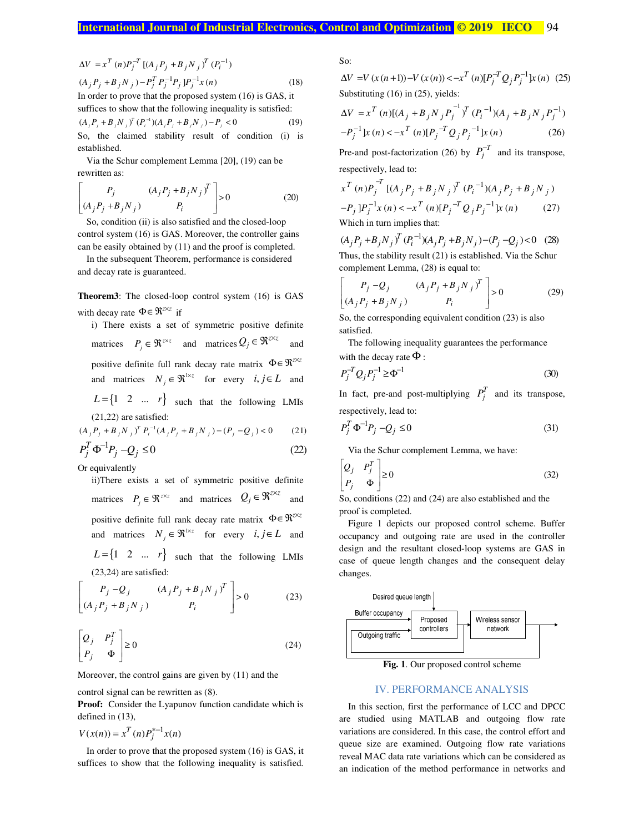$$
\Delta V = x^T (n) P_j^{-T} \left[ (A_j P_j + B_j N_j)^T (P_i^{-1}) \right]
$$
  
(A<sub>j</sub> P<sub>j</sub> + B<sub>j</sub> N<sub>j</sub>) - P<sub>j</sub><sup>T</sup> P<sub>j</sub><sup>-1</sup>P<sub>j</sub> ]P<sub>j</sub><sup>-1</sup>x(n) (18)  
In order to prove that the proposed system (16) is GAS, it

suffices to show that the following inequality is satisfied:  $(A_j P_j + B_j N_j)^T (P_i^{-1}) (A_j P_j + B_j N_j) - P_j < 0$  (19) So, the claimed stability result of condition (i) is established.

Via the Schur complement Lemma [20], (19) can be rewritten as:

$$
\begin{bmatrix} P_j & (A_j P_j + B_j N_j)^T \ (A_j P_j + B_j N_j)^T & P_i \end{bmatrix} > 0
$$
 (20)

So, condition (ii) is also satisfied and the closed-loop control system (16) is GAS. Moreover, the controller gains can be easily obtained by (11) and the proof is completed.

In the subsequent Theorem, performance is considered and decay rate is guaranteed.

**Theorem3**: The closed-loop control system (16) is GAS with decay rate  $\Phi \in \mathfrak{R}^{z \times z}$  if

i) There exists a set of symmetric positive definite matrices  $P_j \in \Re^{z \times z}$  and matrices  $Q_j \in \Re^{z \times z}$  and positive definite full rank decay rate matrix  $\Phi \in \mathbb{R}^{\infty}$ and matrices  $N_j \in \Re^{1 \times z}$  for every  $i, j \in L$  and

 $L = \begin{cases} 1 & 2 & \dots & r \end{cases}$  such that the following LMIs (21,22) are satisfied:

 $(A_j P_j + B_j N_j)^T P_i^{-1} (A_j P_j + B_j N_j) - (P_j - Q_j) < 0$  (21)

$$
P_j^T \Phi^{-1} P_j - Q_j \le 0 \tag{22}
$$

Or equivalently

ii)There exists a set of symmetric positive definite matrices  $P_j \in \Re^{z \times z}$  and matrices  $Q_j \in \Re^{z \times z}$  and positive definite full rank decay rate matrix  $\Phi \in \mathbb{R}^{\infty}$ and matrices  $N_j \in \Re^{1 \times z}$  for every  $i, j \in L$  and

 $L = \begin{cases} 1 & 2 & \dots & r \end{cases}$  such that the following LMIs (23,24) are satisfied:

$$
\begin{bmatrix} P_j - Q_j & (A_j P_j + B_j N_j)^T \ (A_j P_j + B_j N_j) & P_i \end{bmatrix} > 0
$$
 (23)

$$
\begin{bmatrix} Q_j & P_j^T \\ P_j & \Phi \end{bmatrix} \ge 0
$$
\n(24)

Moreover, the control gains are given by (11) and the

control signal can be rewritten as (8).

**Proof:** Consider the Lyapunov function candidate which is defined in (13),

 $V(x(n)) = x^T(n)P_j^{*-1}x(n)$ 

In order to prove that the proposed system (16) is GAS, it suffices to show that the following inequality is satisfied. So:

 $\Delta V = V(x(n+1)) - V(x(n)) < -x^T(n)[P_j^{-T}Q_j P_j^{-1}]x(n)$  (25) Substituting (16) in (25), yields:

$$
\Delta V = x^T (n) [(A_j + B_j N_j P_j^{-1})^T (P_i^{-1})(A_j + B_j N_j P_j^{-1})
$$
  

$$
-P_j^{-1} [x(n) < -x^T (n) [P_j^{-T} Q_j P_j^{-1}] x(n)
$$
 (26)

Pre-and post-factorization (26) by  $P_j^{-T}$  and its transpose, respectively, lead to:

$$
x^{T} (n) P_{j}^{-T} [(A_{j} P_{j} + B_{j} N_{j} )^{T} (P_{i}^{-1}) (A_{j} P_{j} + B_{j} N_{j} )
$$
  
\n
$$
-P_{j} ] P_{j}^{-1} x (n) < -x^{T} (n) [P_{j}^{-T} Q_{j} P_{j}^{-1}] x (n) \qquad (27)
$$
  
\nWhich in turn implies that:

 $(A_j P_j + B_j N_j)^T (P_i^{-1}) (A_j P_j + B_j N_j) - (P_j - Q_j) < 0$  (28) Thus, the stability result (21) is established. Via the Schur complement Lemma, (28) is equal to:

$$
\begin{bmatrix} P_j - Q_j & (A_j P_j + B_j N_j)^T \ (A_j P_j + B_j N_j) & P_i \end{bmatrix} > 0
$$
 (29)

So, the corresponding equivalent condition (23) is also satisfied.

The following inequality guarantees the performance with the decay rate  $\Phi$  :

$$
P_j^{-T} Q_j P_j^{-1} \ge \Phi^{-1}
$$
\n(30)

In fact, pre-and post-multiplying  $P_j^T$  and its transpose, respectively, lead to:

$$
P_j^T \Phi^{-1} P_j - Q_j \le 0 \tag{31}
$$

Via the Schur complement Lemma, we have:

$$
\begin{bmatrix} Q_j & P_j^T \\ P_j & \Phi \end{bmatrix} \ge 0
$$
\n(32)

So, conditions (22) and (24) are also established and the proof is completed.

Figure 1 depicts our proposed control scheme. Buffer occupancy and outgoing rate are used in the controller design and the resultant closed-loop systems are GAS in case of queue length changes and the consequent delay changes.



**Fig. 1**. Our proposed control scheme

#### IV. PERFORMANCE ANALYSIS

 $= x^T(n) P_i^{*-1} x(n)$  variations are considered. In this case, the control effort and In this section, first the performance of LCC and DPCC are studied using MATLAB and outgoing flow rate queue size are examined. Outgoing flow rate variations reveal MAC data rate variations which can be considered as an indication of the method performance in networks and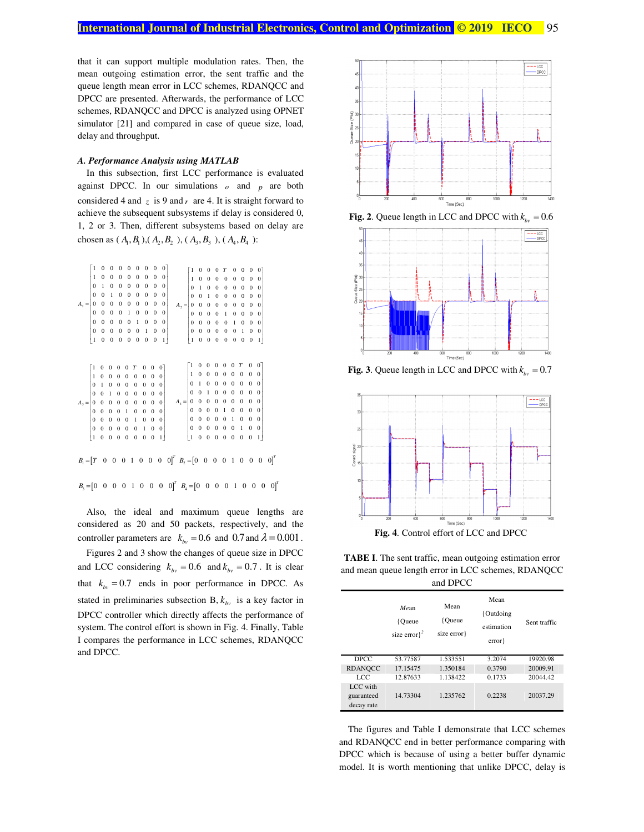that it can support multiple modulation rates. Then, the mean outgoing estimation error, the sent traffic and the queue length mean error in LCC schemes, RDANQCC and DPCC are presented. Afterwards, the performance of LCC schemes, RDANQCC and DPCC is analyzed using OPNET simulator [21] and compared in case of queue size, load, delay and throughput.

#### *A. Performance Analysis using MATLAB*

In this subsection, first LCC performance is evaluated against DPCC. In our simulations  $\rho$  and  $p$  are both considered 4 and  $z$  is 9 and  $r$  are 4. It is straight forward to achieve the subsequent subsystems if delay is considered 0, 1, 2 or 3. Then, different subsystems based on delay are chosen as  $(A_1, B_1), (A_2, B_2), (A_3, B_3), (A_4, B_4)$ :



Also, the ideal and maximum queue lengths are considered as 20 and 50 packets, respectively, and the controller parameters are  $k_{bv} = 0.6$  and  $0.7$  and  $\lambda = 0.001$ .

Figures 2 and 3 show the changes of queue size in DPCC and LCC considering  $k_{bv} = 0.6$  and  $k_{bv} = 0.7$ . It is clear that  $k_{bv} = 0.7$  ends in poor performance in DPCC. As stated in preliminaries subsection B,  $k_{by}$  is a key factor in DPCC controller which directly affects the performance of system. The control effort is shown in Fig. 4. Finally, Table I compares the performance in LCC schemes, RDANQCC and DPCC.



**Fig. 2**. Queue length in LCC and DPCC with  $k_{\text{iv}} = 0.6$ 



**Fig. 3**. Queue length in LCC and DPCC with  $k_{bv} = 0.7$ 



**TABE I**. The sent traffic, mean outgoing estimation error and mean queue length error in LCC schemes, RDANQCC

| and DPCC                             |                                     |                              |                                            |              |  |  |
|--------------------------------------|-------------------------------------|------------------------------|--------------------------------------------|--------------|--|--|
|                                      | Mean<br>{Oueue<br>size error $\}^2$ | Mean<br>{Oueue<br>size error | Mean<br>{Outdoing<br>estimation<br>error } | Sent traffic |  |  |
| DPCC.                                | 53.77587                            | 1.533551                     | 3.2074                                     | 19920.98     |  |  |
| <b>RDANOCC</b>                       | 17.15475                            | 1.350184                     | 0.3790                                     | 20009.91     |  |  |
| LCC                                  | 12.87633                            | 1.138422                     | 0.1733                                     | 20044.42     |  |  |
| LCC with<br>guaranteed<br>decay rate | 14.73304                            | 1.235762                     | 0.2238                                     | 20037.29     |  |  |

The figures and Table I demonstrate that LCC schemes and RDANQCC end in better performance comparing with DPCC which is because of using a better buffer dynamic model. It is worth mentioning that unlike DPCC, delay is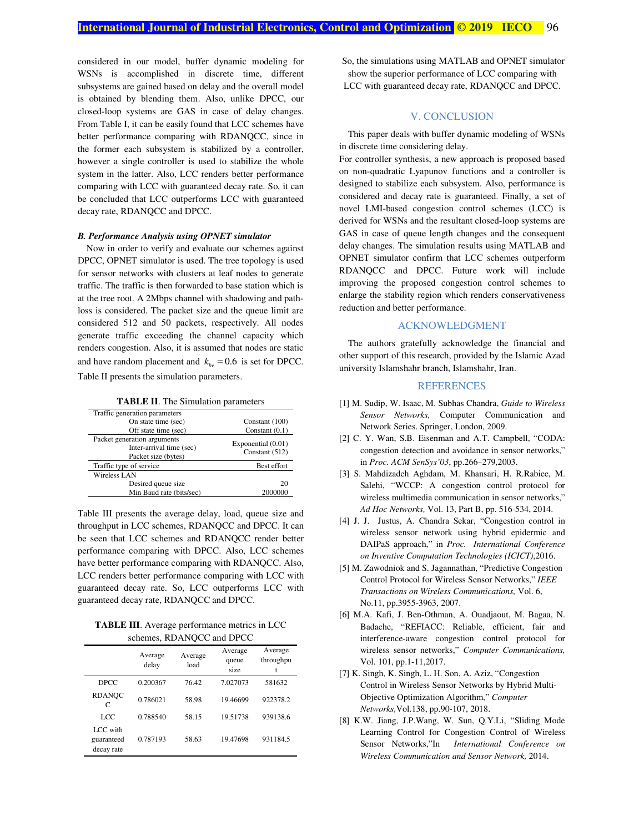considered in our model, buffer dynamic modeling for WSNs is accomplished in discrete time, different subsystems are gained based on delay and the overall model is obtained by blending them. Also, unlike DPCC, our closed-loop systems are GAS in case of delay changes. From Table I, it can be easily found that LCC schemes have better performance comparing with RDANQCC, since in the former each subsystem is stabilized by a controller, however a single controller is used to stabilize the whole system in the latter. Also, LCC renders better performance comparing with LCC with guaranteed decay rate. So, it can be concluded that LCC outperforms LCC with guaranteed decay rate, RDANQCC and DPCC.

#### *B. Performance Analysis using OPNET simulator*

Now in order to verify and evaluate our schemes against DPCC, OPNET simulator is used. The tree topology is used for sensor networks with clusters at leaf nodes to generate traffic. The traffic is then forwarded to base station which is at the tree root. A 2Mbps channel with shadowing and pathloss is considered. The packet size and the queue limit are considered 512 and 50 packets, respectively. All nodes generate traffic exceeding the channel capacity which renders congestion. Also, it is assumed that nodes are static and have random placement and  $k_{\text{av}} = 0.6$  is set for DPCC. Table II presents the simulation parameters.

**TABLE II**. The Simulation parameters

| Traffic generation parameters                                                  |                                        |  |  |  |  |  |
|--------------------------------------------------------------------------------|----------------------------------------|--|--|--|--|--|
| On state time (sec)                                                            | Constant (100)                         |  |  |  |  |  |
| Off state time (sec)                                                           | Constant $(0.1)$                       |  |  |  |  |  |
| Packet generation arguments<br>Inter-arrival time (sec)<br>Packet size (bytes) | Exponential (0.01)<br>Constant $(512)$ |  |  |  |  |  |
| Traffic type of service                                                        | Best effort                            |  |  |  |  |  |
| Wireless LAN                                                                   |                                        |  |  |  |  |  |
| Desired queue size                                                             | 20                                     |  |  |  |  |  |
| Min Baud rate (bits/sec)                                                       | 2000000                                |  |  |  |  |  |

Table III presents the average delay, load, queue size and throughput in LCC schemes, RDANQCC and DPCC. It can be seen that LCC schemes and RDANQCC render better performance comparing with DPCC. Also, LCC schemes have better performance comparing with RDANQCC. Also, LCC renders better performance comparing with LCC with guaranteed decay rate. So, LCC outperforms LCC with guaranteed decay rate, RDANQCC and DPCC.

**TABLE III**. Average performance metrics in LCC schemes, RDANQCC and DPCC

|                                      | Average<br>delay | Average<br>load | Average<br>queue<br>size | Average<br>throughpu |  |  |
|--------------------------------------|------------------|-----------------|--------------------------|----------------------|--|--|
| <b>DPCC</b>                          | 0.200367         | 76.42           | 7.027073                 | 581632               |  |  |
| <b>RDANOC</b><br>C                   | 0.786021         | 58.98           | 19.46699                 | 922378.2             |  |  |
| LCC                                  | 0.788540         | 58.15           | 19.51738                 | 939138.6             |  |  |
| LCC with<br>guaranteed<br>decay rate | 0.787193         | 58.63           | 19.47698                 | 931184.5             |  |  |

 So, the simulations using MATLAB and OPNET simulator show the superior performance of LCC comparing with LCC with guaranteed decay rate, RDANQCC and DPCC.

# V. CONCLUSION

This paper deals with buffer dynamic modeling of WSNs in discrete time considering delay.

For controller synthesis, a new approach is proposed based on non-quadratic Lyapunov functions and a controller is designed to stabilize each subsystem. Also, performance is considered and decay rate is guaranteed. Finally, a set of novel LMI-based congestion control schemes (LCC) is derived for WSNs and the resultant closed-loop systems are GAS in case of queue length changes and the consequent delay changes. The simulation results using MATLAB and OPNET simulator confirm that LCC schemes outperform RDANQCC and DPCC. Future work will include improving the proposed congestion control schemes to enlarge the stability region which renders conservativeness reduction and better performance.

#### ACKNOWLEDGMENT

The authors gratefully acknowledge the financial and other support of this research, provided by the Islamic Azad university Islamshahr branch, Islamshahr, Iran.

# **REFERENCES**

- [1] M. Sudip, W. Isaac, M. Subhas Chandra, *Guide to Wireless Sensor Networks,* Computer Communication and Network Series. Springer, London, 2009.
- [2] C. Y. Wan, S.B. Eisenman and A.T. Campbell, "CODA: congestion detection and avoidance in sensor networks," in *Proc. ACM SenSys'03*, pp.266–279,2003.
- [3] S. Mahdizadeh Aghdam, M. Khansari, H. R.Rabiee, M. Salehi, "WCCP: A congestion control protocol for wireless multimedia communication in sensor networks," *Ad Hoc Networks,* Vol. 13, Part B, pp. 516-534, 2014.
- [4] J. J. Justus, A. Chandra Sekar, "Congestion control in wireless sensor network using hybrid epidermic and DAIPaS approach," in *Proc. International Conference on Inventive Computation Technologies (ICICT)*,2016.
- [5] M. Zawodniok and S. Jagannathan, "Predictive Congestion Control Protocol for Wireless Sensor Networks," *IEEE Transactions on Wireless Communications,* Vol. 6, No.11, pp.3955-3963, 2007.
- [6] M.A. Kafi, J. Ben-Othman, A. Ouadjaout, M. Bagaa, N. Badache, "REFIACC: Reliable, efficient, fair and interference-aware congestion control protocol for wireless sensor networks," *Computer Communications,*  Vol. 101, pp.1-11,2017.
- [7] K. Singh, K. Singh, L. H. Son, A. Aziz, "Congestion Control in Wireless Sensor Networks by Hybrid Multi-Objective Optimization Algorithm," *Computer Networks,*Vol.138, pp.90-107, 2018.
- [8] K.W. Jiang, J.P.Wang, W. Sun, Q.Y.Li, "Sliding Mode Learning Control for Congestion Control of Wireless Sensor Networks,"In *International Conference on Wireless Communication and Sensor Network,* 2014.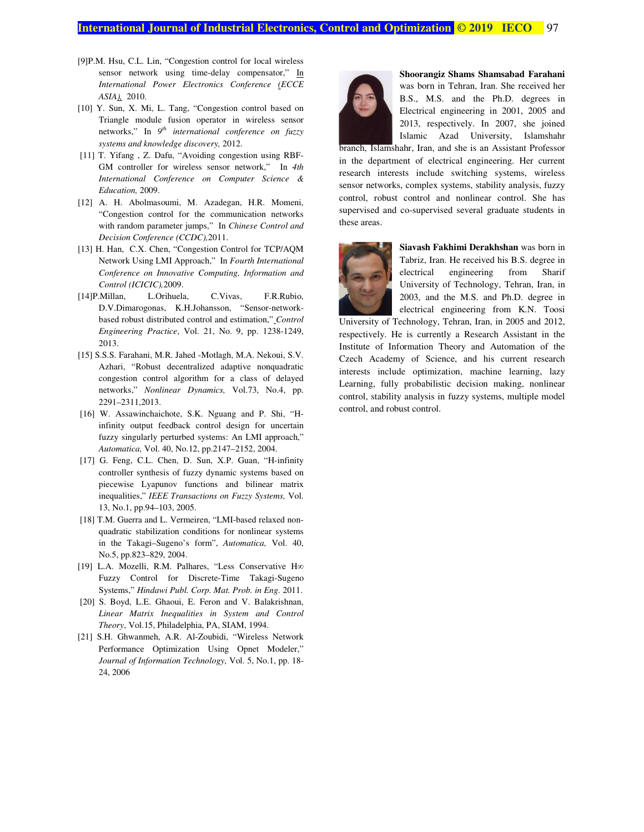# **International Journal of Industrial Electronics, Control and Optimization © 2019 IECO** 97

- [9]P.M. Hsu, C.L. Lin, "Congestion control for local wireless sensor network using time-delay compensator," In *International Power Electronics Conference (ECCE ASIA),* 2010.
- [10] Y. Sun, X. Mi, L. Tang, "Congestion control based on Triangle module fusion operator in wireless sensor networks," In *9th international conference on fuzzy systems and knowledge discovery,* 2012.
- [11] T. Yifang , Z. Dafu, "Avoiding congestion using RBF-GM controller for wireless sensor network," In *4th International Conference on Computer Science & Education,* 2009.
- [12] A. H. Abolmasoumi, M. Azadegan, H.R. Momeni, "Congestion control for the communication networks with random parameter jumps," In *Chinese Control and Decision Conference (CCDC),*2011.
- [13] H. Han, C.X. Chen, "Congestion Control for TCP/AQM Network Using LMI Approach," In *Fourth International Conference on Innovative Computing, Information and Control (ICICIC),*2009.
- [14]P.Millan, L.Orihuela, C.Vivas, F.R.Rubio, D.V.Dimarogonas, K.H.Johansson, "Sensor-networkbased robust distributed control and estimation," *Control Engineering Practice*, Vol. 21, No. 9, pp. 1238-1249, 2013.
- [15] S.S.S. Farahani, M.R. Jahed -Motlagh, M.A. Nekoui, S.V. Azhari, "Robust decentralized adaptive nonquadratic congestion control algorithm for a class of delayed networks," *Nonlinear Dynamics,* Vol.73, No.4, pp. 2291–2311,2013.
- [16] W. Assawinchaichote, S.K. Nguang and P. Shi, "Hinfinity output feedback control design for uncertain fuzzy singularly perturbed systems: An LMI approach," *Automatica,* Vol. 40, No.12, pp.2147–2152, 2004.
- [17] G. Feng, C.L. Chen, D. Sun, X.P. Guan, "H-infinity controller synthesis of fuzzy dynamic systems based on piecewise Lyapunov functions and bilinear matrix inequalities," *IEEE Transactions on Fuzzy Systems,* Vol. 13, No.1, pp.94–103, 2005.
- [18] T.M. Guerra and L. Vermeiren, "LMI-based relaxed nonquadratic stabilization conditions for nonlinear systems in the Takagi–Sugeno's form", *Automatica,* Vol. 40, No.5, pp.823–829, 2004.
- [19] L.A. Mozelli, R.M. Palhares, "Less Conservative H∞ Fuzzy Control for Discrete-Time Takagi-Sugeno Systems," *Hindawi Publ. Corp. Mat. Prob. in Eng.* 2011.
- [20] S. Boyd, L.E. Ghaoui, E. Feron and V. Balakrishnan, *Linear Matrix Inequalities in System and Control Theory*, Vol.15, Philadelphia, PA, SIAM, 1994.
- [21] S.H. Ghwanmeh, A.R. Al-Zoubidi, "Wireless Network Performance Optimization Using Opnet Modeler," *Journal of Information Technology,* Vol. 5, No.1, pp. 18- 24, 2006



**Shoorangiz Shams Shamsabad Farahani**  was born in Tehran, Iran. She received her B.S., M.S. and the Ph.D. degrees in Electrical engineering in 2001, 2005 and 2013, respectively. In 2007, she joined Islamic Azad University, Islamshahr

branch, Islamshahr, Iran, and she is an Assistant Professor in the department of electrical engineering. Her current research interests include switching systems, wireless sensor networks, complex systems, stability analysis, fuzzy control, robust control and nonlinear control. She has supervised and co-supervised several graduate students in these areas.



**Siavash Fakhimi Derakhshan** was born in Tabriz, Iran. He received his B.S. degree in electrical engineering from Sharif University of Technology, Tehran, Iran, in 2003, and the M.S. and Ph.D. degree in electrical engineering from K.N. Toosi

University of Technology, Tehran, Iran, in 2005 and 2012, respectively. He is currently a Research Assistant in the Institute of Information Theory and Automation of the Czech Academy of Science, and his current research interests include optimization, machine learning, lazy Learning, fully probabilistic decision making, nonlinear control, stability analysis in fuzzy systems, multiple model control, and robust control.